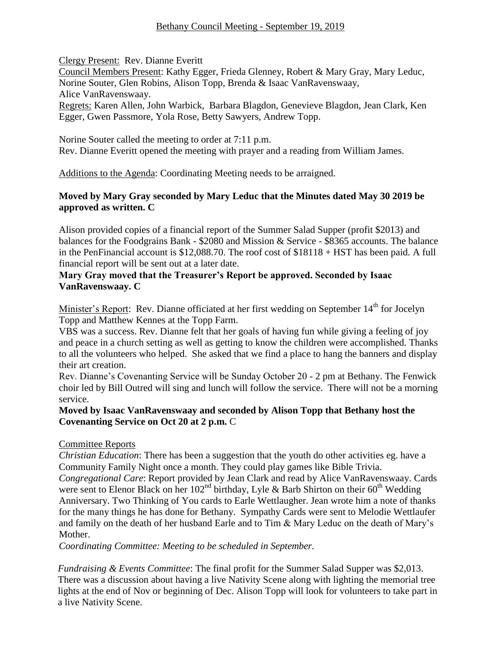# Bethany Council Meeting - September 19, 2019

Clergy Present: Rev. Dianne Everitt

Council Members Present: Kathy Egger, Frieda Glenney, Robert & Mary Gray, Mary Leduc, Norine Souter, Glen Robins, Alison Topp, Brenda & Isaac VanRavenswaay, Alice VanRavenswaay.

Regrets: Karen Allen, John Warbick, Barbara Blagdon, Genevieve Blagdon, Jean Clark, Ken Egger, Gwen Passmore, Yola Rose, Betty Sawyers, Andrew Topp.

Norine Souter called the meeting to order at 7:11 p.m. Rev. Dianne Everitt opened the meeting with prayer and a reading from William James.

Additions to the Agenda: Coordinating Meeting needs to be arraigned.

## **Moved by Mary Gray seconded by Mary Leduc that the Minutes dated May 30 2019 be approved as written. C**

Alison provided copies of a financial report of the Summer Salad Supper (profit \$2013) and balances for the Foodgrains Bank - \$2080 and Mission & Service - \$8365 accounts. The balance in the PenFinancial account is \$12,088.70. The roof cost of \$18118 + HST has been paid. A full financial report will be sent out at a later date.

## **Mary Gray moved that the Treasurer's Report be approved. Seconded by Isaac VanRavenswaay. C**

Minister's Report: Rev. Dianne officiated at her first wedding on September 14<sup>th</sup> for Jocelyn Topp and Matthew Kennes at the Topp Farm.

VBS was a success. Rev. Dianne felt that her goals of having fun while giving a feeling of joy and peace in a church setting as well as getting to know the children were accomplished. Thanks to all the volunteers who helped. She asked that we find a place to hang the banners and display their art creation.

Rev. Dianne's Covenanting Service will be Sunday October 20 - 2 pm at Bethany. The Fenwick choir led by Bill Outred will sing and lunch will follow the service. There will not be a morning service.

# **Moved by Isaac VanRavenswaay and seconded by Alison Topp that Bethany host the Covenanting Service on Oct 20 at 2 p.m.** C

# Committee Reports

*Christian Education*: There has been a suggestion that the youth do other activities eg. have a Community Family Night once a month. They could play games like Bible Trivia.

*Congregational Care*: Report provided by Jean Clark and read by Alice VanRavenswaay. Cards were sent to Elenor Black on her  $102<sup>nd</sup>$  birthday, Lyle & Barb Shirton on their 60<sup>th</sup> Wedding Anniversary. Two Thinking of You cards to Earle Wettlaugher. Jean wrote him a note of thanks for the many things he has done for Bethany.Sympathy Cards were sent to Melodie Wettlaufer and family on the death of her husband Earle and to Tim & Mary Leduc on the death of Mary's Mother.

*Coordinating Committee: Meeting to be scheduled in September.*

*Fundraising & Events Committee*: The final profit for the Summer Salad Supper was \$2,013. There was a discussion about having a live Nativity Scene along with lighting the memorial tree lights at the end of Nov or beginning of Dec. Alison Topp will look for volunteers to take part in a live Nativity Scene.